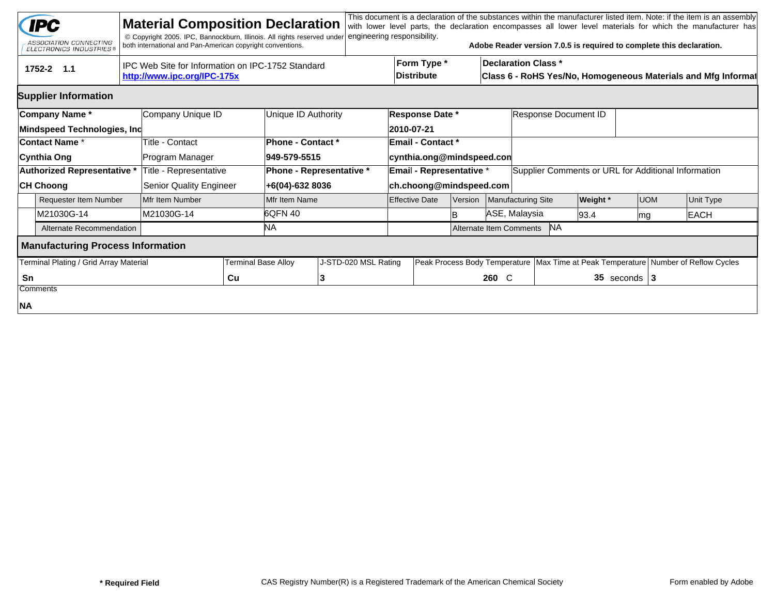|    | <b>IPC</b><br>ASSOCIATION CONNECTING<br><b>ELECTRONICS INDUSTRIES®</b> | <b>Material Composition Declaration</b><br>© Copyright 2005. IPC, Bannockburn, Illinois. All rights reserved under<br>both international and Pan-American copyright conventions. |                     |                                                    | engineering responsibility.      |                                                                                        |               |                                                                                             |                                                     |                  | This document is a declaration of the substances within the manufacturer listed item. Note: if the item is an assembly<br>with lower level parts, the declaration encompasses all lower level materials for which the manufacturer has<br>Adobe Reader version 7.0.5 is required to complete this declaration. |  |  |  |  |
|----|------------------------------------------------------------------------|----------------------------------------------------------------------------------------------------------------------------------------------------------------------------------|---------------------|----------------------------------------------------|----------------------------------|----------------------------------------------------------------------------------------|---------------|---------------------------------------------------------------------------------------------|-----------------------------------------------------|------------------|----------------------------------------------------------------------------------------------------------------------------------------------------------------------------------------------------------------------------------------------------------------------------------------------------------------|--|--|--|--|
|    | tru<br>1752-2 1.1                                                      | IPC Web Site for Information on IPC-1752 Standard<br>http://www.ipc.org/IPC-175x                                                                                                 |                     |                                                    | Form Type *<br><b>Distribute</b> |                                                                                        |               | <b>Declaration Class *</b><br>Class 6 - RoHS Yes/No, Homogeneous Materials and Mfg Informat |                                                     |                  |                                                                                                                                                                                                                                                                                                                |  |  |  |  |
|    | <b>Supplier Information</b>                                            |                                                                                                                                                                                  |                     |                                                    |                                  |                                                                                        |               |                                                                                             |                                                     |                  |                                                                                                                                                                                                                                                                                                                |  |  |  |  |
|    | Company Name*<br>Mindspeed Technologies, Inc                           | Company Unique ID                                                                                                                                                                |                     | Unique ID Authority                                | Response Date *<br>2010-07-21    |                                                                                        |               | Response Document ID                                                                        |                                                     |                  |                                                                                                                                                                                                                                                                                                                |  |  |  |  |
|    | <b>Contact Name *</b><br>Cynthia Ong                                   | Title - Contact<br>Program Manager                                                                                                                                               |                     | <b>Phone - Contact *</b><br>949-579-5515           |                                  | <b>Email - Contact *</b><br>cynthia.ong@mindspeed.con                                  |               |                                                                                             |                                                     |                  |                                                                                                                                                                                                                                                                                                                |  |  |  |  |
|    | Authorized Representative *<br><b>CH Choong</b>                        | Title - Representative<br>Senior Quality Engineer                                                                                                                                |                     | <b>Phone - Representative *</b><br>+6(04)-632 8036 |                                  | <b>Email - Representative *</b><br>ch.choong@mindspeed.com                             |               |                                                                                             | Supplier Comments or URL for Additional Information |                  |                                                                                                                                                                                                                                                                                                                |  |  |  |  |
|    | <b>Requester Item Number</b>                                           | Mfr Item Number                                                                                                                                                                  | Mfr Item Name       |                                                    | <b>Effective Date</b>            | Version                                                                                |               | Manufacturing Site                                                                          | <b>Weight</b> *                                     | <b>UOM</b>       | Unit Type                                                                                                                                                                                                                                                                                                      |  |  |  |  |
|    | M21030G-14                                                             | M21030G-14                                                                                                                                                                       | 6QFN 40             |                                                    |                                  | lB.                                                                                    | ASE, Malaysia |                                                                                             | 93.4                                                | lmg              | <b>EACH</b>                                                                                                                                                                                                                                                                                                    |  |  |  |  |
|    | Alternate Recommendation                                               |                                                                                                                                                                                  | NA.                 |                                                    |                                  |                                                                                        |               | <b>NA</b><br>Alternate Item Comments                                                        |                                                     |                  |                                                                                                                                                                                                                                                                                                                |  |  |  |  |
|    | <b>Manufacturing Process Information</b>                               |                                                                                                                                                                                  |                     |                                                    |                                  |                                                                                        |               |                                                                                             |                                                     |                  |                                                                                                                                                                                                                                                                                                                |  |  |  |  |
|    | Terminal Plating / Grid Array Material                                 |                                                                                                                                                                                  | Terminal Base Alloy | J-STD-020 MSL Rating                               |                                  | Peak Process Body Temperature   Max Time at Peak Temperature   Number of Reflow Cycles |               |                                                                                             |                                                     |                  |                                                                                                                                                                                                                                                                                                                |  |  |  |  |
| Sn | Comments                                                               |                                                                                                                                                                                  | Cu                  | 3                                                  |                                  |                                                                                        | 260 C         |                                                                                             |                                                     | 35 seconds $ 3 $ |                                                                                                                                                                                                                                                                                                                |  |  |  |  |
| NA |                                                                        |                                                                                                                                                                                  |                     |                                                    |                                  |                                                                                        |               |                                                                                             |                                                     |                  |                                                                                                                                                                                                                                                                                                                |  |  |  |  |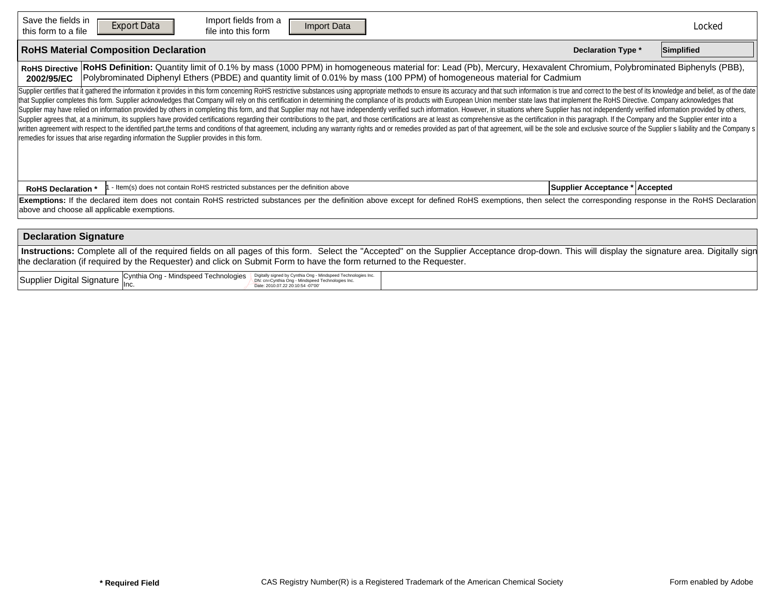| Save the fields in<br>this form to a file                                                                                                                                                                                                                                                                                          | Import fields from a<br><b>Export Data</b><br>Import Data<br><b>Reset Form</b><br>file into this form                                                                                                                                                                                                                                                                                                                                                                                                                                                                                                                                                                                                                                                                                                                                                                                                                                                                                                                                                                                                                                                                                                                                                              |  | Locked |  |  |  |  |  |  |  |  |  |
|------------------------------------------------------------------------------------------------------------------------------------------------------------------------------------------------------------------------------------------------------------------------------------------------------------------------------------|--------------------------------------------------------------------------------------------------------------------------------------------------------------------------------------------------------------------------------------------------------------------------------------------------------------------------------------------------------------------------------------------------------------------------------------------------------------------------------------------------------------------------------------------------------------------------------------------------------------------------------------------------------------------------------------------------------------------------------------------------------------------------------------------------------------------------------------------------------------------------------------------------------------------------------------------------------------------------------------------------------------------------------------------------------------------------------------------------------------------------------------------------------------------------------------------------------------------------------------------------------------------|--|--------|--|--|--|--|--|--|--|--|--|
| <b>RoHS Material Composition Declaration</b><br><b>Declaration Type *</b>                                                                                                                                                                                                                                                          |                                                                                                                                                                                                                                                                                                                                                                                                                                                                                                                                                                                                                                                                                                                                                                                                                                                                                                                                                                                                                                                                                                                                                                                                                                                                    |  |        |  |  |  |  |  |  |  |  |  |
| RoHS Definition: Quantity limit of 0.1% by mass (1000 PPM) in homogeneous material for: Lead (Pb), Mercury, Hexavalent Chromium, Polybrominated Biphenyls (PBB),<br><b>RoHS Directive</b><br>Polybrominated Diphenyl Ethers (PBDE) and quantity limit of 0.01% by mass (100 PPM) of homogeneous material for Cadmium<br>2002/95/EC |                                                                                                                                                                                                                                                                                                                                                                                                                                                                                                                                                                                                                                                                                                                                                                                                                                                                                                                                                                                                                                                                                                                                                                                                                                                                    |  |        |  |  |  |  |  |  |  |  |  |
|                                                                                                                                                                                                                                                                                                                                    | Supplier certifies that it gathered the information it provides in this form concerning RoHS restrictive substances using appropriate methods to ensure its accuracy and that such information is true and correct to the best<br>that Supplier completes this form. Supplier acknowledges that Company will rely on this certification in determining the compliance of its products with European Union member state laws that implement the RoHS Directive. C<br>Supplier may have relied on information provided by others in completing this form, and that Supplier may not have independently verified such information. However, in situations where Supplier has not independently verifi<br>Supplier agrees that, at a minimum, its suppliers have provided certifications regarding their contributions to the part, and those certifications are at least as comprehensive as the certification in this paragraph. If th<br>written agreement with respect to the identified part,the terms and conditions of that agreement, including any warranty rights and or remedies provided as part of that agreement, will be the sole and exclusive source of t<br>remedies for issues that arise regarding information the Supplier provides in this form. |  |        |  |  |  |  |  |  |  |  |  |
| <b>RoHS Declaration *</b>                                                                                                                                                                                                                                                                                                          | Supplier Acceptance * Accepted                                                                                                                                                                                                                                                                                                                                                                                                                                                                                                                                                                                                                                                                                                                                                                                                                                                                                                                                                                                                                                                                                                                                                                                                                                     |  |        |  |  |  |  |  |  |  |  |  |
| Exemptions: If the declared item does not contain RoHS restricted substances per the definition above except for defined RoHS exemptions, then select the corresponding response in the RoHS Declaration<br>above and choose all applicable exemptions.                                                                            |                                                                                                                                                                                                                                                                                                                                                                                                                                                                                                                                                                                                                                                                                                                                                                                                                                                                                                                                                                                                                                                                                                                                                                                                                                                                    |  |        |  |  |  |  |  |  |  |  |  |
| <b>Declaration Signature</b>                                                                                                                                                                                                                                                                                                       |                                                                                                                                                                                                                                                                                                                                                                                                                                                                                                                                                                                                                                                                                                                                                                                                                                                                                                                                                                                                                                                                                                                                                                                                                                                                    |  |        |  |  |  |  |  |  |  |  |  |
| Instructions: Complete all of the required fields on all pages of this form. Select the "Accepted" on the Supplier Acceptance drop-down. This will display the signature area. Digitally sign<br>the declaration (if required by the Requester) and click on Submit Form to have the form returned to the Requester.               |                                                                                                                                                                                                                                                                                                                                                                                                                                                                                                                                                                                                                                                                                                                                                                                                                                                                                                                                                                                                                                                                                                                                                                                                                                                                    |  |        |  |  |  |  |  |  |  |  |  |
|                                                                                                                                                                                                                                                                                                                                    | Supplier Digital Signature Cynthia Ong - Mindspeed Technologies<br>Digitally signed by Cynthia Ong - Mindspeed Technologies Inc.<br>DN: cn=Cynthia Ong - Mindspeed Technologies Inc.<br>Date: 2010.07.22 20:10:54 -07'00'                                                                                                                                                                                                                                                                                                                                                                                                                                                                                                                                                                                                                                                                                                                                                                                                                                                                                                                                                                                                                                          |  |        |  |  |  |  |  |  |  |  |  |